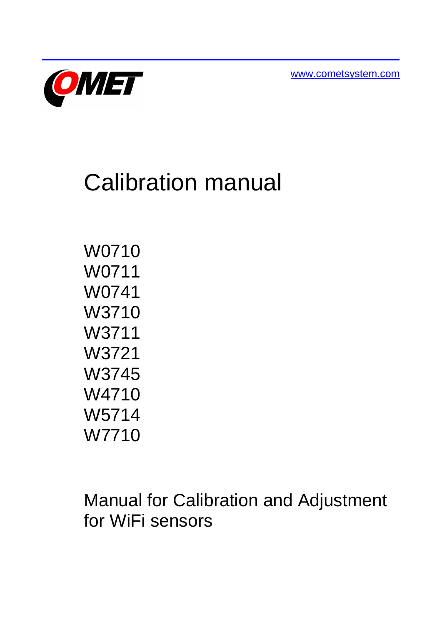[www.cometsystem.com](http://www.cometsystem.com/)



# Calibration manual

W0710 W0711 W0741 W3710 W3711 W3721 W3745 W4710 W5714 W7710

Manual for Calibration and Adjustment for WiFi sensors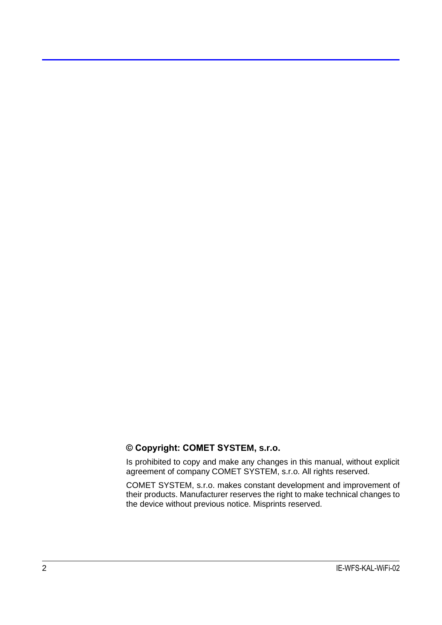#### **© Copyright: COMET SYSTEM, s.r.o.**

Is prohibited to copy and make any changes in this manual, without explicit agreement of company COMET SYSTEM, s.r.o. All rights reserved.

COMET SYSTEM, s.r.o. makes constant development and improvement of their products. Manufacturer reserves the right to make technical changes to the device without previous notice. Misprints reserved.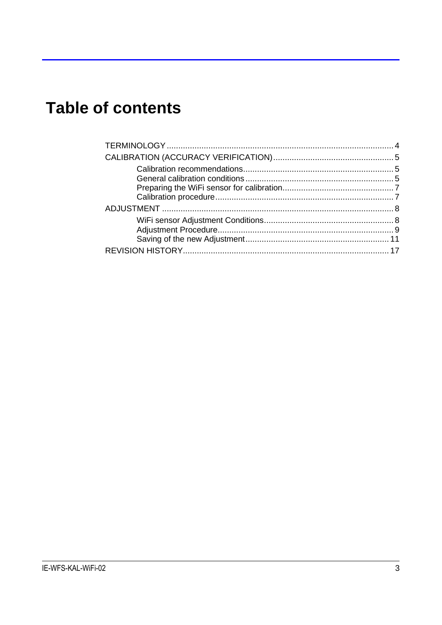# **Table of contents**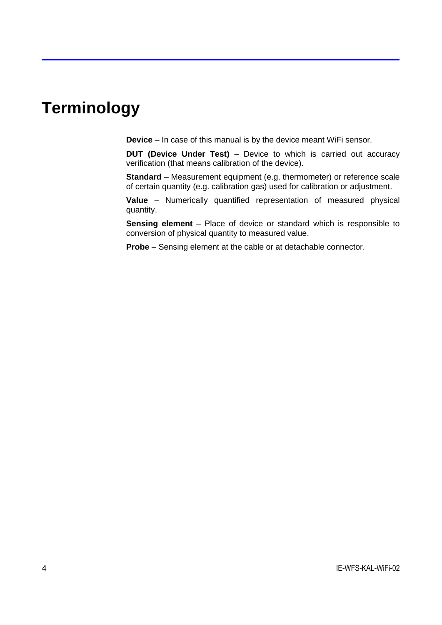# <span id="page-3-0"></span>**Terminology**

**Device** – In case of this manual is by the device meant WiFi sensor.

**DUT (Device Under Test)** – Device to which is carried out accuracy verification (that means calibration of the device).

**Standard** – Measurement equipment (e.g. thermometer) or reference scale of certain quantity (e.g. calibration gas) used for calibration or adjustment.

**Value** – Numerically quantified representation of measured physical quantity.

**Sensing element** – Place of device or standard which is responsible to conversion of physical quantity to measured value.

**Probe** – Sensing element at the cable or at detachable connector.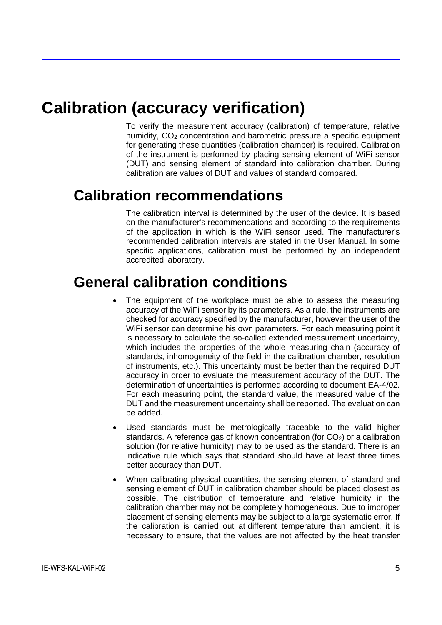# <span id="page-4-0"></span>**Calibration (accuracy verification)**

To verify the measurement accuracy (calibration) of temperature, relative humidity,  $CO<sub>2</sub>$  concentration and barometric pressure a specific equipment for generating these quantities (calibration chamber) is required. Calibration of the instrument is performed by placing sensing element of WiFi sensor (DUT) and sensing element of standard into calibration chamber. During calibration are values of DUT and values of standard compared.

#### <span id="page-4-1"></span>**Calibration recommendations**

The calibration interval is determined by the user of the device. It is based on the manufacturer's recommendations and according to the requirements of the application in which is the WiFi sensor used. The manufacturer's recommended calibration intervals are stated in the User Manual. In some specific applications, calibration must be performed by an independent accredited laboratory.

## <span id="page-4-2"></span>**General calibration conditions**

- The equipment of the workplace must be able to assess the measuring accuracy of the WiFi sensor by its parameters. As a rule, the instruments are checked for accuracy specified by the manufacturer, however the user of the WiFi sensor can determine his own parameters. For each measuring point it is necessary to calculate the so-called extended measurement uncertainty, which includes the properties of the whole measuring chain (accuracy of standards, inhomogeneity of the field in the calibration chamber, resolution of instruments, etc.). This uncertainty must be better than the required DUT accuracy in order to evaluate the measurement accuracy of the DUT. The determination of uncertainties is performed according to document EA-4/02. For each measuring point, the standard value, the measured value of the DUT and the measurement uncertainty shall be reported. The evaluation can be added.
- Used standards must be metrologically traceable to the valid higher standards. A reference gas of known concentration (for  $CO<sub>2</sub>$ ) or a calibration solution (for relative humidity) may to be used as the standard. There is an indicative rule which says that standard should have at least three times better accuracy than DUT.
- When calibrating physical quantities, the sensing element of standard and sensing element of DUT in calibration chamber should be placed closest as possible. The distribution of temperature and relative humidity in the calibration chamber may not be completely homogeneous. Due to improper placement of sensing elements may be subject to a large systematic error. If the calibration is carried out at different temperature than ambient, it is necessary to ensure, that the values are not affected by the heat transfer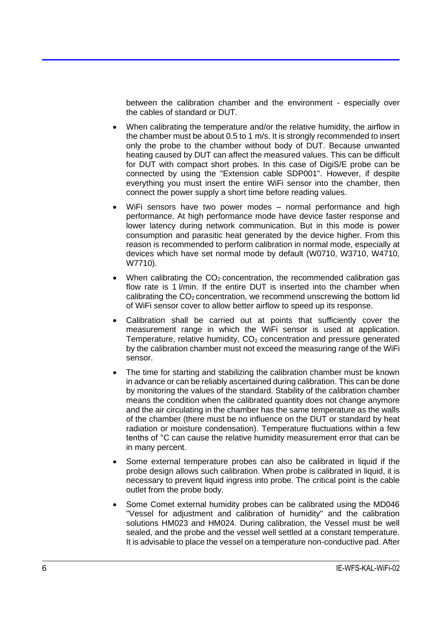between the calibration chamber and the environment - especially over the cables of standard or DUT.

- When calibrating the temperature and/or the relative humidity, the airflow in the chamber must be about 0.5 to 1 m/s. It is strongly recommended to insert only the probe to the chamber without body of DUT. Because unwanted heating caused by DUT can affect the measured values. This can be difficult for DUT with compact short probes. In this case of DigiS/E probe can be connected by using the "Extension cable SDP001". However, if despite everything you must insert the entire WiFi sensor into the chamber, then connect the power supply a short time before reading values.
- WiFi sensors have two power modes normal performance and high performance. At high performance mode have device faster response and lower latency during network communication. But in this mode is power consumption and parasitic heat generated by the device higher. From this reason is recommended to perform calibration in normal mode, especially at devices which have set normal mode by default (W0710, W3710, W4710, W7710).
- When calibrating the  $CO<sub>2</sub>$  concentration, the recommended calibration gas flow rate is 1 l/min. If the entire DUT is inserted into the chamber when calibrating the  $CO<sub>2</sub>$  concentration, we recommend unscrewing the bottom lid of WiFi sensor cover to allow better airflow to speed up its response.
- Calibration shall be carried out at points that sufficiently cover the measurement range in which the WiFi sensor is used at application. Temperature, relative humidity,  $CO<sub>2</sub>$  concentration and pressure generated by the calibration chamber must not exceed the measuring range of the WiFi sensor.
- The time for starting and stabilizing the calibration chamber must be known in advance or can be reliably ascertained during calibration. This can be done by monitoring the values of the standard. Stability of the calibration chamber means the condition when the calibrated quantity does not change anymore and the air circulating in the chamber has the same temperature as the walls of the chamber (there must be no influence on the DUT or standard by heat radiation or moisture condensation). Temperature fluctuations within a few tenths of °C can cause the relative humidity measurement error that can be in many percent.
- Some external temperature probes can also be calibrated in liquid if the probe design allows such calibration. When probe is calibrated in liquid, it is necessary to prevent liquid ingress into probe. The critical point is the cable outlet from the probe body.
- Some Comet external humidity probes can be calibrated using the MD046 "Vessel for adjustment and calibration of humidity" and the calibration solutions HM023 and HM024. During calibration, the Vessel must be well sealed, and the probe and the vessel well settled at a constant temperature. It is advisable to place the vessel on a temperature non-conductive pad. After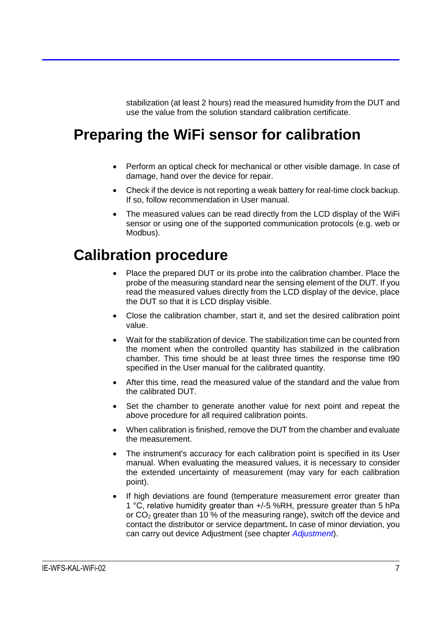stabilization (at least 2 hours) read the measured humidity from the DUT and use the value from the solution standard calibration certificate.

## <span id="page-6-0"></span>**Preparing the WiFi sensor for calibration**

- Perform an optical check for mechanical or other visible damage. In case of damage, hand over the device for repair.
- Check if the device is not reporting a weak battery for real-time clock backup. If so, follow recommendation in User manual.
- The measured values can be read directly from the LCD display of the WiFi sensor or using one of the supported communication protocols (e.g. web or Modbus).

#### <span id="page-6-1"></span>**Calibration procedure**

- Place the prepared DUT or its probe into the calibration chamber. Place the probe of the measuring standard near the sensing element of the DUT. If you read the measured values directly from the LCD display of the device, place the DUT so that it is LCD display visible.
- Close the calibration chamber, start it, and set the desired calibration point value.
- Wait for the stabilization of device. The stabilization time can be counted from the moment when the controlled quantity has stabilized in the calibration chamber. This time should be at least three times the response time t90 specified in the User manual for the calibrated quantity.
- After this time, read the measured value of the standard and the value from the calibrated DUT.
- Set the chamber to generate another value for next point and repeat the above procedure for all required calibration points.
- When calibration is finished, remove the DUT from the chamber and evaluate the measurement.
- The instrument's accuracy for each calibration point is specified in its User manual. When evaluating the measured values, it is necessary to consider the extended uncertainty of measurement (may vary for each calibration point).
- If high deviations are found (temperature measurement error greater than 1 °C, relative humidity greater than +/-5 %RH, pressure greater than 5 hPa or CO<sup>2</sup> greater than 10 % of the measuring range), switch off the device and contact the distributor or service department**.** In case of minor deviation, you can carry out device Adjustment (see chapter *[Adjustment](#page-7-0)*).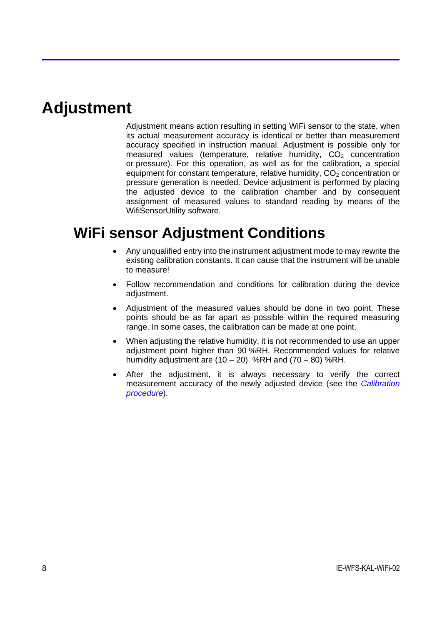## <span id="page-7-0"></span>**Adjustment**

Adjustment means action resulting in setting WiFi sensor to the state, when its actual measurement accuracy is identical or better than measurement accuracy specified in instruction manual. Adjustment is possible only for measured values (temperature, relative humidity,  $CO<sub>2</sub>$  concentration or pressure). For this operation, as well as for the calibration, a special equipment for constant temperature, relative humidity,  $CO<sub>2</sub>$  concentration or pressure generation is needed. Device adjustment is performed by placing the adjusted device to the calibration chamber and by consequent assignment of measured values to standard reading by means of the WifiSensorUtility software.

## <span id="page-7-1"></span>**WiFi sensor Adjustment Conditions**

- Any unqualified entry into the instrument adjustment mode to may rewrite the existing calibration constants. It can cause that the instrument will be unable to measure!
- Follow recommendation and conditions for calibration during the device adjustment.
- Adjustment of the measured values should be done in two point. These points should be as far apart as possible within the required measuring range. In some cases, the calibration can be made at one point.
- When adjusting the relative humidity, it is not recommended to use an upper adjustment point higher than 90 %RH. Recommended values for relative humidity adjustment are  $(10 - 20)$  %RH and  $(70 - 80)$  %RH.
- After the adjustment, it is always necessary to verify the correct measurement accuracy of the newly adjusted device (see the *[Calibration](#page-6-1)  [procedure](#page-6-1)*).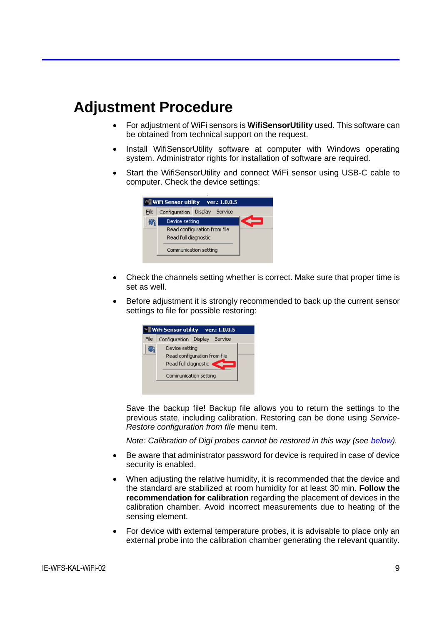### <span id="page-8-0"></span>**Adjustment Procedure**

- For adjustment of WiFi sensors is **WifiSensorUtility** used. This software can be obtained from technical support on the request.
- Install WifiSensorUtility software at computer with Windows operating system. Administrator rights for installation of software are required.
- Start the WifiSensorUtility and connect WiFi sensor using USB-C cable to computer. Check the device settings:



- Check the channels setting whether is correct. Make sure that proper time is set as well.
- Before adjustment it is strongly recommended to back up the current sensor settings to file for possible restoring:



Save the backup file! Backup file allows you to return the settings to the previous state, including calibration. Restoring can be done using *Service-Restore configuration from file* menu item*.*

*Note: Calibration of Digi probes cannot be restored in this way (see [below\)](#page-11-0).*

- Be aware that administrator password for device is required in case of device security is enabled.
- When adjusting the relative humidity, it is recommended that the device and the standard are stabilized at room humidity for at least 30 min. **Follow the recommendation for calibration** regarding the placement of devices in the calibration chamber. Avoid incorrect measurements due to heating of the sensing element.
- For device with external temperature probes, it is advisable to place only an external probe into the calibration chamber generating the relevant quantity.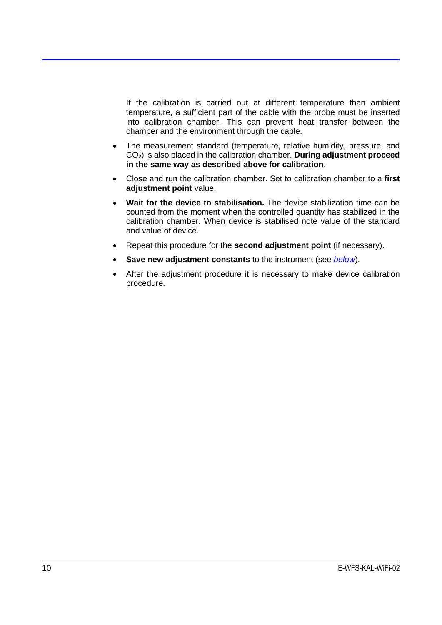If the calibration is carried out at different temperature than ambient temperature, a sufficient part of the cable with the probe must be inserted into calibration chamber. This can prevent heat transfer between the chamber and the environment through the cable.

- The measurement standard (temperature, relative humidity, pressure, and CO2) is also placed in the calibration chamber. **During adjustment proceed in the same way as described above for calibration**.
- Close and run the calibration chamber. Set to calibration chamber to a **first adjustment point** value.
- **Wait for the device to stabilisation.** The device stabilization time can be counted from the moment when the controlled quantity has stabilized in the calibration chamber. When device is stabilised note value of the standard and value of device.
- Repeat this procedure for the **second adjustment point** (if necessary).
- **Save new adjustment constants** to the instrument (see *[below](#page-10-0)*).
- After the adjustment procedure it is necessary to make device calibration procedure.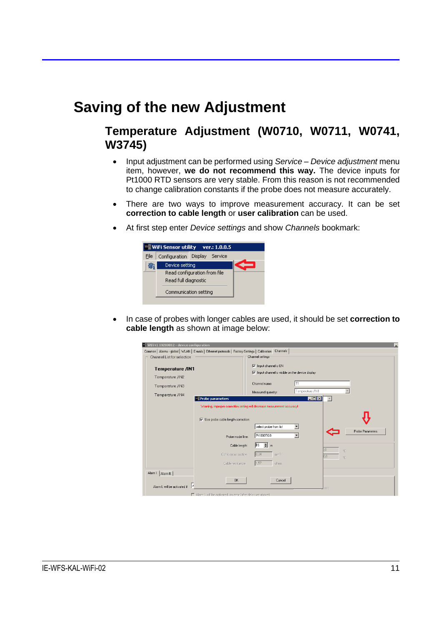#### <span id="page-10-0"></span>**Saving of the new Adjustment**

#### **Temperature Adjustment (W0710, W0711, W0741, W3745)**

- Input adjustment can be performed using *Service – Device adjustment* menu item, however, **we do not recommend this way.** The device inputs for Pt1000 RTD sensors are very stable. From this reason is not recommended to change calibration constants if the probe does not measure accurately.
- There are two ways to improve measurement accuracy. It can be set **correction to cable length** or **user calibration** can be used.
- At first step enter *Device settings* and show *Channels* bookmark:



• In case of probes with longer cables are used, it should be set **correction to cable length** as shown at image below:

| WF W0741 19280012 - device configuration<br>L.                                                           |                                                                                                      |  |  |  |  |  |
|----------------------------------------------------------------------------------------------------------|------------------------------------------------------------------------------------------------------|--|--|--|--|--|
| Common   Alarms - global   WLAN   E-mails   Ethernet protocols   Factory Settings   Calibration Channels |                                                                                                      |  |  |  |  |  |
| Channel List for selection                                                                               | -Channel settings-                                                                                   |  |  |  |  |  |
| <b>Temperature /IN1</b>                                                                                  | $\nabla$ Input channel is $ON$<br>$\overline{\nabla}$ Input channel is visible on the device display |  |  |  |  |  |
| Temperature /IN2                                                                                         |                                                                                                      |  |  |  |  |  |
| Temperature /IN3                                                                                         | l T 1<br>Channel name:                                                                               |  |  |  |  |  |
|                                                                                                          | Temperature /IN1<br>Measured quantity:                                                               |  |  |  |  |  |
| Temperature /IN4<br><b>Probe parameters</b>                                                              | <b>ED X</b>                                                                                          |  |  |  |  |  |
|                                                                                                          | Warning, improper correction setting will decrease measurement accuracy!                             |  |  |  |  |  |
| $\overline{\blacktriangledown}$ Use probe cable length correction:                                       | select probe from list                                                                               |  |  |  |  |  |
| Probe model line:                                                                                        | Probe Parameters<br>PrioootG8                                                                        |  |  |  |  |  |
| Cable length:                                                                                            | $\parallel$ h <sub>5</sub><br>÷ m<br>°C                                                              |  |  |  |  |  |
| Cable cross section:                                                                                     | 0,34<br>mm <sub>2</sub><br>nn<br>°C                                                                  |  |  |  |  |  |
| Cable resistance:                                                                                        | 1,57<br>ohms                                                                                         |  |  |  |  |  |
| Alarm I.   Alarm II.                                                                                     |                                                                                                      |  |  |  |  |  |
| 0K<br>١ē<br>Alarm L will be activated if                                                                 | Cancel<br>sec.                                                                                       |  |  |  |  |  |
| Alarm I, will be activated on error (after delay set above)                                              |                                                                                                      |  |  |  |  |  |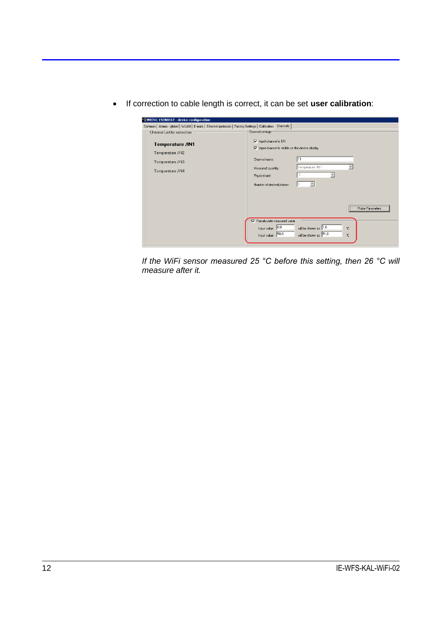• If correction to cable length is correct, it can be set **user calibration**:

| WC W0741 19280012 - device configuration                                                                   |                                                                                                                                                                                                                 |
|------------------------------------------------------------------------------------------------------------|-----------------------------------------------------------------------------------------------------------------------------------------------------------------------------------------------------------------|
| Common   Alarms - global   WLAN   E-mails   Ethernet protocols   Factory Settings   Calibration   Channels |                                                                                                                                                                                                                 |
| Channel List for selection                                                                                 | -Channel settings-                                                                                                                                                                                              |
| <b>Temperature /IN1</b><br>Temperature /IN2<br>Temperature /IN3<br>Temperature /IN4                        | $\nabla$ Input channel is $ON$<br>$\nabla$ Input channel is visible on the device display<br>T1<br>Channel name:<br>Temperature /IN1<br>Measured quantity:<br>°C<br>Physical unit:<br>Number of decimal places: |
|                                                                                                            | Probe Parameters<br>Recalculate measured value<br>Input value $\boxed{0.0}$<br>will be shown as 1.0<br>*C.<br>Input value 50,0<br>will be shown as 51,0<br>۴C.                                                  |

<span id="page-11-0"></span>*If the WiFi sensor measured 25 °C before this setting, then 26 °C will measure after it.*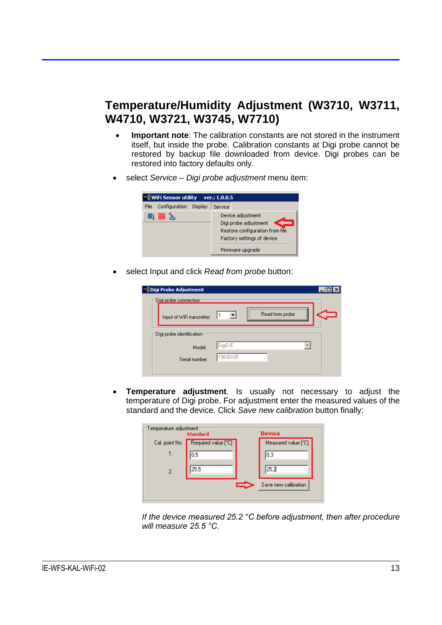#### **Temperature/Humidity Adjustment (W3710, W3711, W4710, W3721, W3745, W7710)**

- **Important note**: The calibration constants are not stored in the instrument itself, but inside the probe. Calibration constants at Digi probe cannot be restored by backup file downloaded from device. Digi probes can be restored into factory defaults only.
- select *Service – Digi probe adjustment* menu item:

|      |        | We WiFi Sensor utility ver.: 1.0.0.5 |         |                                                                                                                                 |
|------|--------|--------------------------------------|---------|---------------------------------------------------------------------------------------------------------------------------------|
| File |        | Configuration Display                | Service |                                                                                                                                 |
|      | 衛 88 ~ |                                      |         | Device adjustment<br>Digi probe adjustment<br>Restore configuration from file<br>Factory settings of device<br>Firmware upgrade |

• select Input and click *Read from probe* button:

| <b>WE Digi Probe Adjustment</b>      |          |                 |  |
|--------------------------------------|----------|-----------------|--|
| Digi probe connection                |          |                 |  |
| Input of WiFi transmitter:           |          | Read from probe |  |
| $\exists$ Digi probe identification: |          |                 |  |
| Model:                               | DigiS/E  |                 |  |
| Serial number:                       | 19830105 |                 |  |
|                                      |          |                 |  |

• **Temperature adjustment**. Is usually not necessary to adjust the temperature of Digi probe. For adjustment enter the measured values of the standard and the device. Click *Save new calibration* button finally:

| —Temperature adjustment <sup>.</sup><br><b>Standard</b> | <b>Device</b>       |  |                      |
|---------------------------------------------------------|---------------------|--|----------------------|
| Cal. point No.                                          | Required value [°C] |  | Measured value [°C]  |
| 1.                                                      | 0.5                 |  | l0.3                 |
| $\overline{2}$ .                                        | 25,5                |  | 25,2                 |
|                                                         |                     |  | Save new calibration |
|                                                         |                     |  |                      |

*If the device measured 25.2 °C before adjustment, then after procedure will measure 25.5 °C.*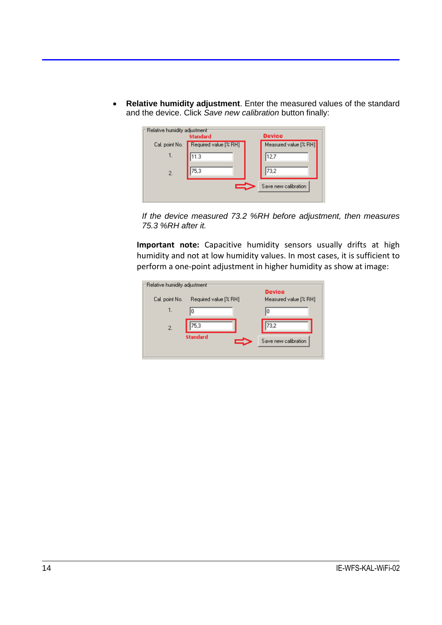• **Relative humidity adjustment**. Enter the measured values of the standard and the device. Click *Save new calibration* button finally:

| Relative humidity adjustment | <b>Standard</b>       | <b>Device</b>         |
|------------------------------|-----------------------|-----------------------|
| Cal. point No.               | Required value [% RH] | Measured value [% RH] |
| 1.                           | 11.3                  | 12,7                  |
| 2.                           | 75,3                  | 73,2                  |
|                              |                       | Save new calibration  |

*If the device measured 73.2 %RH before adjustment, then measures 75.3 %RH after it.*

**Important note:** Capacitive humidity sensors usually drifts at high humidity and not at low humidity values. In most cases, it is sufficient to perform a one-point adjustment in higher humidity as show at image:

| Relative humidity adjustment |                       |                                        |
|------------------------------|-----------------------|----------------------------------------|
| Cal. point No.               | Required value [% RH] | <b>Device</b><br>Measured value [% RH] |
| 1.                           |                       | 10                                     |
| $\overline{c}$               | 75,3                  | 73,2                                   |
|                              | <b>Standard</b>       | Save new calibration                   |
|                              |                       |                                        |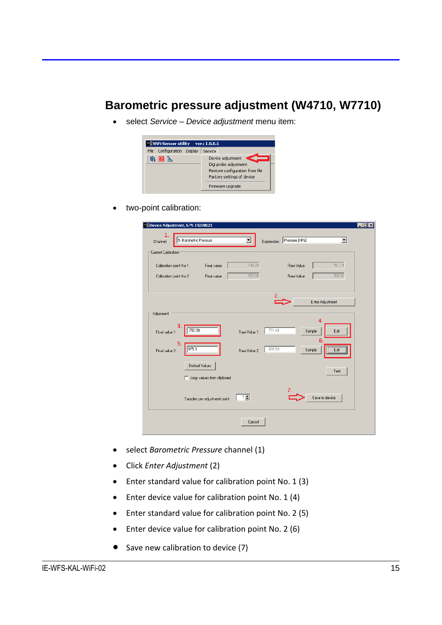#### **Barometric pressure adjustment (W4710, W7710)**

• select *Service – Device adjustment* menu item:



• two-point calibration:

| 1<br>Channel:           | 5: Barometric Pressure |                               |              | Expression: | Pressure (hPa) | $\blacktriangledown$ |
|-------------------------|------------------------|-------------------------------|--------------|-------------|----------------|----------------------|
| Current Calibration     |                        |                               |              |             |                |                      |
| Calibration point No.1: |                        | Final value:                  | 749,70       |             | Raw Value:     | 751,14               |
| Calibration point No.2: |                        | Final value:                  | 955,90       |             | Raw Value:     | 958,39               |
|                         |                        |                               |              |             |                |                      |
|                         |                        |                               |              | 2.          |                | Enter Adjustment     |
| Adjusment               |                        |                               |              |             |                |                      |
| 3                       |                        |                               |              |             |                | 4                    |
| Final value 1:          | 750.00                 |                               | Raw Value 1: | 751.44      |                | Sample<br>Edit<br>6. |
| 5.<br>Final value 2:    | 975.3                  |                               | Raw Value 2: | 978.59      |                | Sample<br>Edit       |
|                         |                        |                               |              |             |                |                      |
|                         | Default Values         |                               |              |             |                | Test                 |
|                         |                        | copy values from clipboard    |              |             |                |                      |
|                         |                        | Samples per adjustment point: | $1 \div$     |             |                | Save to device       |
|                         |                        |                               |              |             |                |                      |
|                         |                        |                               | Cancel       |             |                |                      |

- select *Barometric Pressure* channel (1)
- Click *Enter Adjustment* (2)
- Enter standard value for calibration point No. 1 (3)
- Enter device value for calibration point No. 1 (4)
- Enter standard value for calibration point No. 2 (5)
- Enter device value for calibration point No. 2 (6)
- Save new calibration to device (7)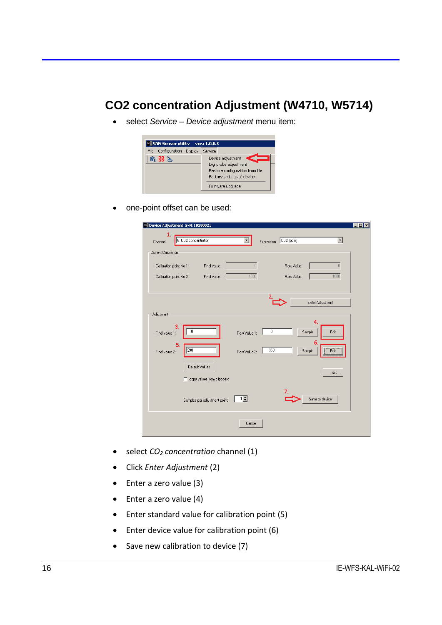#### **CO2 concentration Adjustment (W4710, W5714)**

• select *Service – Device adjustment* menu item:



• one-point offset can be used:

| 1<br>Channel:                                      | 6: CO2 concentration |                                              |              | Expression: | $CO2$ (ppm)              | $\blacktriangledown$ |  |
|----------------------------------------------------|----------------------|----------------------------------------------|--------------|-------------|--------------------------|----------------------|--|
| Current Calibration                                |                      |                                              |              |             |                          |                      |  |
| Calibration point No.1:<br>Calibration point No.2: |                      | Final value:<br>Final value:                 | 0<br>1000    |             | Raw Value:<br>Raw Value: | $\theta$<br>1000     |  |
|                                                    |                      |                                              |              | 2.          |                          | Enter Adjustment     |  |
| Adjusment                                          |                      |                                              |              |             |                          |                      |  |
| Final value 1:                                     | з<br>n               |                                              | Raw Value 1: | $\,0$       |                          | Δ<br>Sample<br>Edit  |  |
| Final value 2:                                     | 5.<br>998            |                                              | Raw Value 2: | 950         |                          | 6.<br>Edit<br>Sample |  |
|                                                    |                      | Default Values<br>copy values from clipboard |              |             |                          | Test                 |  |
|                                                    |                      | Samples per adjustment point:                | $1 \pm$      |             |                          | Save to device       |  |
|                                                    |                      |                                              | Cancel       |             |                          |                      |  |

- select *CO<sup>2</sup> concentration* channel (1)
- Click *Enter Adjustment* (2)
- Enter a zero value (3)
- Enter a zero value (4)
- Enter standard value for calibration point (5)
- Enter device value for calibration point (6)
- Save new calibration to device (7)